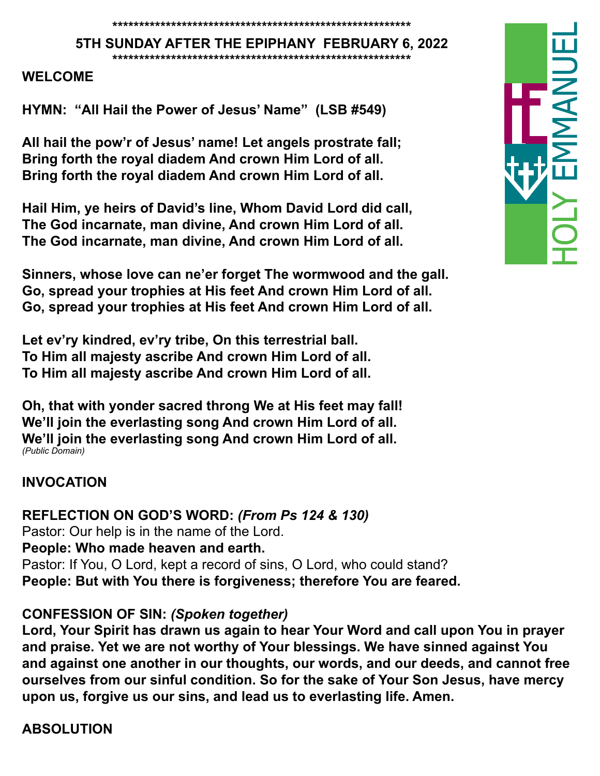**5TH SUNDAY AFTER THE EPIPHANY FEBRUARY 6, 2022 \*\*\*\*\*\*\*\*\*\*\*\*\*\*\*\*\*\*\*\*\*\*\*\*\*\*\*\*\*\*\*\*\*\*\*\*\*\*\*\*\*\*\*\*\*\*\*\*\*\*\*\*\*\*\*\***

#### **WELCOME**

**HYMN: "All Hail the Power of Jesus' Name" (LSB #549)**

**All hail the pow'r of Jesus' name! Let angels prostrate fall; Bring forth the royal diadem And crown Him Lord of all. Bring forth the royal diadem And crown Him Lord of all.**

**Hail Him, ye heirs of David's line, Whom David Lord did call, The God incarnate, man divine, And crown Him Lord of all. The God incarnate, man divine, And crown Him Lord of all.**

**Sinners, whose love can ne'er forget The wormwood and the gall. Go, spread your trophies at His feet And crown Him Lord of all. Go, spread your trophies at His feet And crown Him Lord of all.**

**Let ev'ry kindred, ev'ry tribe, On this terrestrial ball. To Him all majesty ascribe And crown Him Lord of all. To Him all majesty ascribe And crown Him Lord of all.**

**Oh, that with yonder sacred throng We at His feet may fall! We'll join the everlasting song And crown Him Lord of all. We'll join the everlasting song And crown Him Lord of all.** *(Public Domain)*

#### **INVOCATION**

#### **REFLECTION ON GOD'S WORD:** *(From Ps 124 & 130)*

Pastor: Our help is in the name of the Lord. **People: Who made heaven and earth.**  Pastor: If You, O Lord, kept a record of sins, O Lord, who could stand? **People: But with You there is forgiveness; therefore You are feared.**

#### **CONFESSION OF SIN:** *(Spoken together)*

**Lord, Your Spirit has drawn us again to hear Your Word and call upon You in prayer and praise. Yet we are not worthy of Your blessings. We have sinned against You and against one another in our thoughts, our words, and our deeds, and cannot free ourselves from our sinful condition. So for the sake of Your Son Jesus, have mercy upon us, forgive us our sins, and lead us to everlasting life. Amen.** 

**ABSOLUTION**

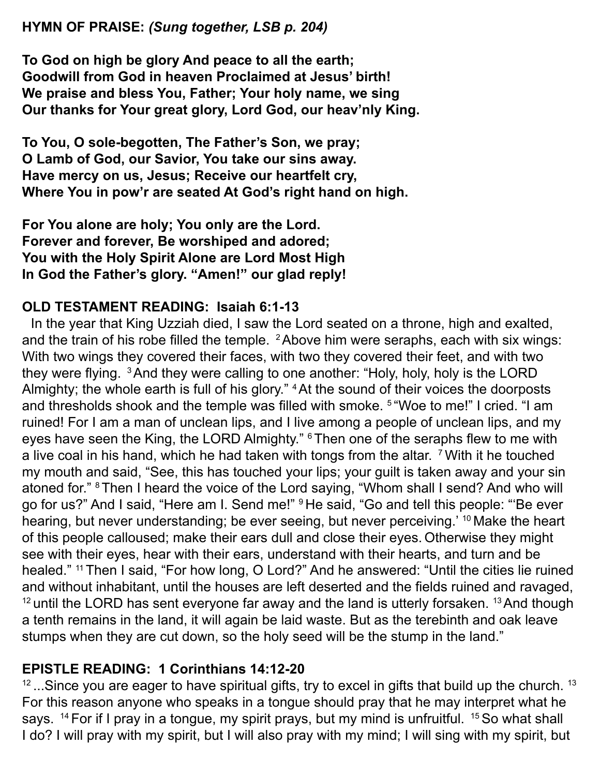#### **HYMN OF PRAISE:** *(Sung together, LSB p. 204)*

**To God on high be glory And peace to all the earth; Goodwill from God in heaven Proclaimed at Jesus' birth! We praise and bless You, Father; Your holy name, we sing Our thanks for Your great glory, Lord God, our heav'nly King.**

**To You, O sole-begotten, The Father's Son, we pray; O Lamb of God, our Savior, You take our sins away. Have mercy on us, Jesus; Receive our heartfelt cry, Where You in pow'r are seated At God's right hand on high.**

**For You alone are holy; You only are the Lord. Forever and forever, Be worshiped and adored; You with the Holy Spirit Alone are Lord Most High In God the Father's glory. "Amen!" our glad reply!**

#### **OLD TESTAMENT READING: Isaiah 6:1-13**

In the year that King Uzziah died, I saw the Lord seated on a throne, high and exalted, and the train of his robe filled the temple.  $2$  Above him were seraphs, each with six wings: With two wings they covered their faces, with two they covered their feet, and with two they were flying. 3 And they were calling to one another: "Holy, holy, holy is the LORD Almighty; the whole earth is full of his glory." <sup>4</sup> At the sound of their voices the doorposts and thresholds shook and the temple was filled with smoke. 5 "Woe to me!" I cried. "I am ruined! For I am a man of unclean lips, and I live among a people of unclean lips, and my eyes have seen the King, the LORD Almighty." <sup>6</sup> Then one of the seraphs flew to me with a live coal in his hand, which he had taken with tongs from the altar. 7 With it he touched my mouth and said, "See, this has touched your lips; your guilt is taken away and your sin atoned for." 8 Then I heard the voice of the Lord saying, "Whom shall I send? And who will go for us?" And I said, "Here am I. Send me!" <sup>9</sup> He said, "Go and tell this people: "'Be ever hearing, but never understanding; be ever seeing, but never perceiving.' <sup>10</sup> Make the heart of this people calloused; make their ears dull and close their eyes. Otherwise they might see with their eyes, hear with their ears, understand with their hearts, and turn and be healed." <sup>11</sup> Then I said, "For how long, O Lord?" And he answered: "Until the cities lie ruined and without inhabitant, until the houses are left deserted and the fields ruined and ravaged,  $12$  until the LORD has sent everyone far away and the land is utterly forsaken.  $13$  And though a tenth remains in the land, it will again be laid waste. But as the terebinth and oak leave stumps when they are cut down, so the holy seed will be the stump in the land."

## **EPISTLE READING: 1 Corinthians 14:12-20**

<sup>12</sup>...Since you are eager to have spiritual gifts, try to excel in gifts that build up the church. <sup>13</sup> For this reason anyone who speaks in a tongue should pray that he may interpret what he says. <sup>14</sup> For if I pray in a tongue, my spirit prays, but my mind is unfruitful. <sup>15</sup> So what shall I do? I will pray with my spirit, but I will also pray with my mind; I will sing with my spirit, but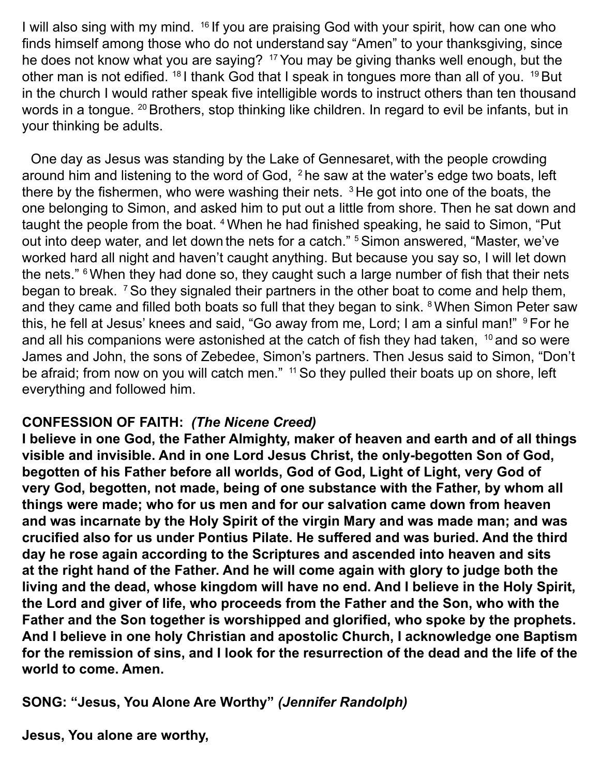I will also sing with my mind. <sup>16</sup> If you are praising God with your spirit, how can one who finds himself among those who do not understand say "Amen" to your thanksgiving, since he does not know what you are saying? <sup>17</sup> You may be giving thanks well enough, but the other man is not edified. <sup>18</sup> I thank God that I speak in tongues more than all of you. <sup>19</sup> But in the church I would rather speak five intelligible words to instruct others than ten thousand words in a tongue. <sup>20</sup> Brothers, stop thinking like children. In regard to evil be infants, but in your thinking be adults.

One day as Jesus was standing by the Lake of Gennesaret, with the people crowding around him and listening to the word of God,  $2$  he saw at the water's edge two boats, left there by the fishermen, who were washing their nets.  $3$  He got into one of the boats, the one belonging to Simon, and asked him to put out a little from shore. Then he sat down and taught the people from the boat. <sup>4</sup> When he had finished speaking, he said to Simon, "Put out into deep water, and let down the nets for a catch." <sup>5</sup> Simon answered, "Master, we've worked hard all night and haven't caught anything. But because you say so, I will let down the nets." <sup>6</sup> When they had done so, they caught such a large number of fish that their nets began to break.  $7$  So they signaled their partners in the other boat to come and help them, and they came and filled both boats so full that they began to sink. <sup>8</sup> When Simon Peter saw this, he fell at Jesus' knees and said, "Go away from me, Lord; I am a sinful man!" <sup>9</sup> For he and all his companions were astonished at the catch of fish they had taken, <sup>10</sup> and so were James and John, the sons of Zebedee, Simon's partners. Then Jesus said to Simon, "Don't be afraid; from now on you will catch men." <sup>11</sup> So they pulled their boats up on shore, left everything and followed him.

## **CONFESSION OF FAITH:** *(The Nicene Creed)*

**I believe in one God, the Father Almighty, maker of heaven and earth and of all things visible and invisible. And in one Lord Jesus Christ, the only-begotten Son of God, begotten of his Father before all worlds, God of God, Light of Light, very God of very God, begotten, not made, being of one substance with the Father, by whom all things were made; who for us men and for our salvation came down from heaven and was incarnate by the Holy Spirit of the virgin Mary and was made man; and was crucified also for us under Pontius Pilate. He suffered and was buried. And the third day he rose again according to the Scriptures and ascended into heaven and sits at the right hand of the Father. And he will come again with glory to judge both the living and the dead, whose kingdom will have no end. And I believe in the Holy Spirit, the Lord and giver of life, who proceeds from the Father and the Son, who with the Father and the Son together is worshipped and glorified, who spoke by the prophets. And I believe in one holy Christian and apostolic Church, I acknowledge one Baptism for the remission of sins, and I look for the resurrection of the dead and the life of the world to come. Amen.** 

**SONG: "Jesus, You Alone Are Worthy"** *(Jennifer Randolph)*

**Jesus, You alone are worthy,**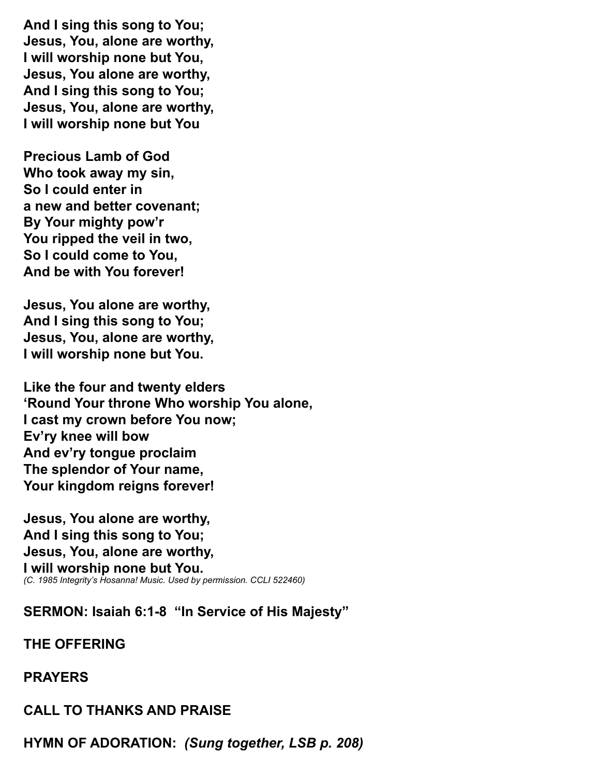**And I sing this song to You; Jesus, You, alone are worthy, I will worship none but You, Jesus, You alone are worthy, And I sing this song to You; Jesus, You, alone are worthy, I will worship none but You**

**Precious Lamb of God Who took away my sin, So I could enter in a new and better covenant; By Your mighty pow'r You ripped the veil in two, So I could come to You, And be with You forever!** 

**Jesus, You alone are worthy, And I sing this song to You; Jesus, You, alone are worthy, I will worship none but You.**

**Like the four and twenty elders 'Round Your throne Who worship You alone, I cast my crown before You now; Ev'ry knee will bow And ev'ry tongue proclaim The splendor of Your name, Your kingdom reigns forever!** 

**Jesus, You alone are worthy, And I sing this song to You; Jesus, You, alone are worthy, I will worship none but You.** *(C. 1985 Integrity's Hosanna! Music. Used by permission. CCLI 522460)*

**SERMON: Isaiah 6:1-8 "In Service of His Majesty"**

**THE OFFERING** 

**PRAYERS**

**CALL TO THANKS AND PRAISE**

**HYMN OF ADORATION:** *(Sung together, LSB p. 208)*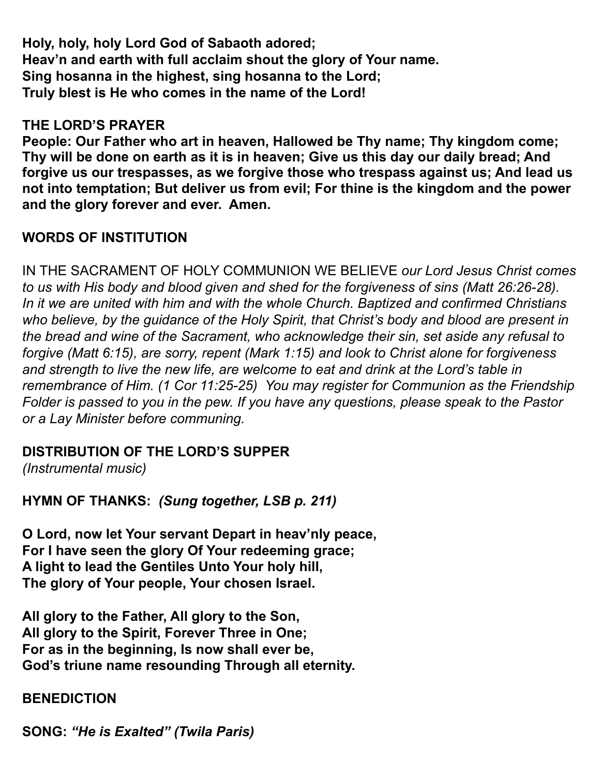**Holy, holy, holy Lord God of Sabaoth adored; Heav'n and earth with full acclaim shout the glory of Your name. Sing hosanna in the highest, sing hosanna to the Lord; Truly blest is He who comes in the name of the Lord!**

#### **THE LORD'S PRAYER**

**People: Our Father who art in heaven, Hallowed be Thy name; Thy kingdom come; Thy will be done on earth as it is in heaven; Give us this day our daily bread; And forgive us our trespasses, as we forgive those who trespass against us; And lead us not into temptation; But deliver us from evil; For thine is the kingdom and the power and the glory forever and ever. Amen.**

## **WORDS OF INSTITUTION**

IN THE SACRAMENT OF HOLY COMMUNION WE BELIEVE *our Lord Jesus Christ comes to us with His body and blood given and shed for the forgiveness of sins (Matt 26:26-28). In it we are united with him and with the whole Church. Baptized and confirmed Christians who believe, by the guidance of the Holy Spirit, that Christ's body and blood are present in the bread and wine of the Sacrament, who acknowledge their sin, set aside any refusal to forgive (Matt 6:15), are sorry, repent (Mark 1:15) and look to Christ alone for forgiveness and strength to live the new life, are welcome to eat and drink at the Lord's table in remembrance of Him. (1 Cor 11:25-25) You may register for Communion as the Friendship Folder is passed to you in the pew. If you have any questions, please speak to the Pastor or a Lay Minister before communing.*

#### **DISTRIBUTION OF THE LORD'S SUPPER**

*(Instrumental music)*

**HYMN OF THANKS:** *(Sung together, LSB p. 211)*

**O Lord, now let Your servant Depart in heav'nly peace, For I have seen the glory Of Your redeeming grace; A light to lead the Gentiles Unto Your holy hill, The glory of Your people, Your chosen Israel.**

**All glory to the Father, All glory to the Son, All glory to the Spirit, Forever Three in One; For as in the beginning, Is now shall ever be, God's triune name resounding Through all eternity.**

#### **BENEDICTION**

**SONG:** *"He is Exalted" (Twila Paris)*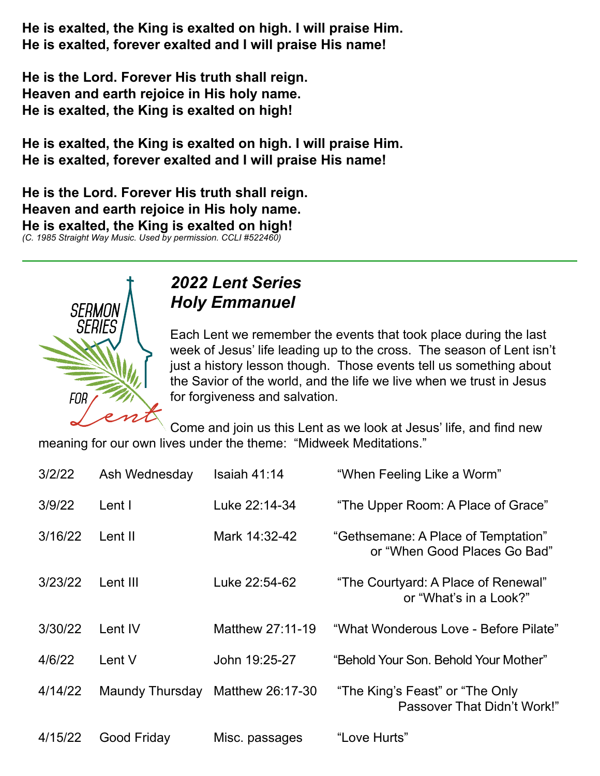**He is exalted, the King is exalted on high. I will praise Him. He is exalted, forever exalted and I will praise His name!**

**He is the Lord. Forever His truth shall reign. Heaven and earth rejoice in His holy name. He is exalted, the King is exalted on high!**

**He is exalted, the King is exalted on high. I will praise Him. He is exalted, forever exalted and I will praise His name!**

**He is the Lord. Forever His truth shall reign. Heaven and earth rejoice in His holy name. He is exalted, the King is exalted on high!** *(C. 1985 Straight Way Music. Used by permission. CCLI #522460)*



## *2022 Lent Series Holy Emmanuel*

Each Lent we remember the events that took place during the last week of Jesus' life leading up to the cross. The season of Lent isn't just a history lesson though. Those events tell us something about the Savior of the world, and the life we live when we trust in Jesus for forgiveness and salvation.

Come and join us this Lent as we look at Jesus' life, and find new meaning for our own lives under the theme: "Midweek Meditations."

| 3/2/22  | Ash Wednesday      | Isaiah 41:14     | "When Feeling Like a Worm"                                          |
|---------|--------------------|------------------|---------------------------------------------------------------------|
| 3/9/22  | Lent I             | Luke 22:14-34    | "The Upper Room: A Place of Grace"                                  |
| 3/16/22 | Lent II            | Mark 14:32-42    | "Gethsemane: A Place of Temptation"<br>or "When Good Places Go Bad" |
| 3/23/22 | Lent III           | Luke 22:54-62    | "The Courtyard: A Place of Renewal"<br>or "What's in a Look?"       |
| 3/30/22 | Lent IV            | Matthew 27:11-19 | "What Wonderous Love - Before Pilate"                               |
| 4/6/22  | Lent V             | John 19:25-27    | "Behold Your Son. Behold Your Mother"                               |
| 4/14/22 | Maundy Thursday    | Matthew 26:17-30 | "The King's Feast" or "The Only<br>Passover That Didn't Work!"      |
| 4/15/22 | <b>Good Friday</b> | Misc. passages   | "Love Hurts"                                                        |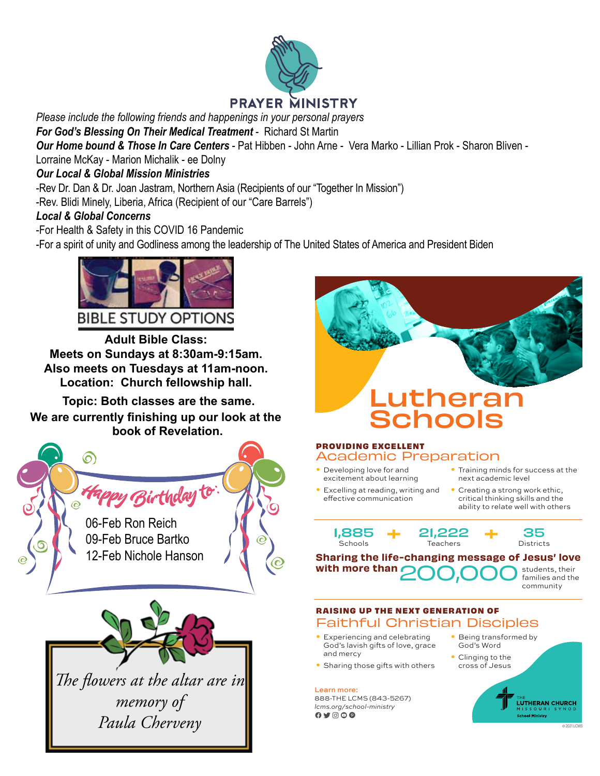

*Please include the following friends and happenings in your personal prayers*

*For God's Blessing On Their Medical Treatment* - Richard St Martin

*Our Home bound & Those In Care Centers* - Pat Hibben - John Arne - Vera Marko - Lillian Prok - Sharon Bliven -

Lorraine McKay - Marion Michalik - ee Dolny

#### *Our Local & Global Mission Ministries*

-Rev Dr. Dan & Dr. Joan Jastram, Northern Asia (Recipients of our "Together In Mission")

-Rev. Blidi Minely, Liberia, Africa (Recipient of our "Care Barrels")

#### *Local & Global Concerns*

-For Health & Safety in this COVID 16 Pandemic

-For a spirit of unity and Godliness among the leadership of The United States of America and President Biden



**Adult Bible Class: Meets on Sundays at 8:30am-9:15am. Meets on Sundays at 8:30am-9:15am. Also meets on Tuesdays at 11am-noon. Also meets on Tuesdays at 11am-noon. Location: Church fellowship hall. Location: Church fellowship hall. Adult Bible Class: Also meets on Treedom of 44s** w meets on Tuesuays at Train-noon.<br>Leecties - Church fellowship hell **LUCATION.** UNDER TURNSTIP ROOM. **Meets on Sundays at 8:30am-9:15am. L**utation. Undition

Topic: Both classes are the same. **LULLPERA** We are currently finishing up our look at the  $\left|\right|$ **book of Revelation.**





#### **PROVIDING EXCELLENT**  Academic Preparation

- Developing love for and excitement about learning
- Training minds for success at the next academic level
- Excelling at reading, writing and effective communication
- Creating a strong work ethic,
- critical thinking skills and the ability to relate well with others

1,885 .<br>Schools

with more than



35 Districts

Sharing the life-changing message of Jesus' love

students, their families and the community 200,000 students, their

# Faithful Christian Disciples

- and mercy
- 

#### Learn more:

888-THE LCMS (843-5267) *lcms.org/school-ministry* **AV000** 

- Being transformed by God's Word
- Clinging to the cross of Jesus